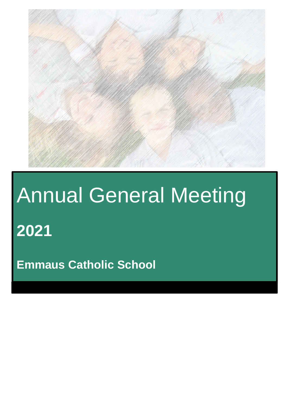

# Annual General Meeting

**2021**

**Emmaus Catholic School**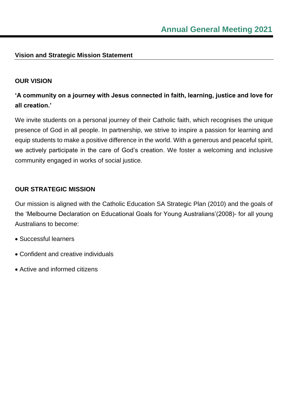# **Vision and Strategic Mission Statement**

# **OUR VISION**

# **'A community on a journey with Jesus connected in faith, learning, justice and love for all creation.'**

We invite students on a personal journey of their Catholic faith, which recognises the unique presence of God in all people. In partnership, we strive to inspire a passion for learning and equip students to make a positive difference in the world. With a generous and peaceful spirit, we actively participate in the care of God's creation. We foster a welcoming and inclusive community engaged in works of social justice.

# **OUR STRATEGIC MISSION**

Our mission is aligned with the Catholic Education SA Strategic Plan (2010) and the goals of the 'Melbourne Declaration on Educational Goals for Young Australians'(2008)- for all young Australians to become:

- Successful learners
- Confident and creative individuals
- Active and informed citizens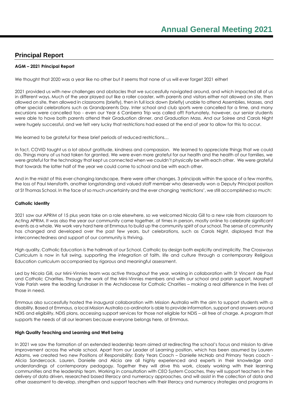# **Principal Report**

#### **AGM – 2021 Principal Report**

We thought that 2020 was a year like no other but it seems that none of us will ever forget 2021 either!

2021 provided us with new challenges and obstacles that we successfully navigated around, and which impacted all of us in different ways. Much of the year played out like a roller coaster, with parents and visitors either not allowed on site, then allowed on site, then allowed in classrooms (briefly), then in full lock down (briefly) unable to attend Assemblies, Masses, and other special celebrations such as Grandparents Day. Inter school and club sports were cancelled for a time, and many excursions were cancelled too - even our Year 6 Canberra Trip was called off! Fortunately, however, our senior students were able to have both parents attend their Graduation dinner, and Graduation Mass. And our Soiree and Carols Night were hugely successful, and we felt very lucky that restrictions had eased at the end of year to allow for this to occur.

We learned to be grateful for these brief periods of reduced restrictions…

In fact, COVID taught us a lot about gratitude, kindness and compassion. We learned to appreciate things that we could do. Things many of us had taken for granted. We were even more grateful for our health and the health of our families, we were grateful for the technology that kept us connected when we couldn't physically be with each other. We were grateful that towards the latter half of the year we could come to school and be with each other.

And in the midst of this ever-changing landscape, there were other changes, 3 principals within the space of a few months, the loss of Paul Mensforth, another longstanding and valued staff member who deservedly won a Deputy Principal position at St Thomas School. In the face of so much uncertainty and the ever changing 'restrictions', we still accomplished so much:

#### **Catholic Identity**

2021 saw our APRIM of 15 plus years take on a role elsewhere, so we welcomed Nicola Gill to a new role from classroom to Acting APRIM. It was also the year our community came together, at times in person, mostly online to celebrate significant events as a whole. We work very hard here at Emmaus to build up the community spirit of our school. The sense of community has changed and developed over the past few years, but celebrations, such as Carols Night, displayed that the interconnectedness and support of our community is thriving.

High quality, Catholic Education is the hallmark of our School. Catholic by design both explicitly and implicitly. The Crossways Curriculum is now in full swing, supporting the integration of faith, life and culture through a contemporary Religious Education curriculum accompanied by rigorous and meaningful assessment.

Led by Nicola Gill, our Mini-Vinnies team was active throughout the year, working in collaboration with St Vincent de Paul and Catholic Charities. Through the work of the Mini-Vinnies members and with our school and parish support, Morphett Vale Parish were the leading fundraiser in the Archdiocese for Catholic Charities – making a real difference in the lives of those in need.

Emmaus also successfully hosted the inaugural collaboration with Mission Australia with the aim to support students with a disability. Based at Emmaus, a local Mission Australia co-ordinator is able to provide information, support and answers around NDIS and eligibility, NDIS plans, accessing support services for those not eligible for NDIS – all free of charge. A program that supports the needs of all our learners because everyone belongs here, at Emmaus.

#### **High Quality Teaching and Learning and Well being**

In 2021 we saw the formation of an extended leadership team aimed at redirecting the school's focus and mission to drive improvement across the whole school. Apart from our Leader of Learning position, which has been assumed by Lauren Adams, we created two new Positions of Responsibility: Early Years Coach – Danielle McNab and Primary Years coach - Alicia Sandercock. Lauren, Danielle and Alicia are all highly experienced and experts in their knowledge and understandings of contemporary pedagogy. Together they will drive this work, closely working with their learning communities and the leadership team. Working in consultation with CEO System Coaches, they will support teachers in the delivery of data driven, researched based literacy and numeracy approaches, and will assist in the collection of data and other assessment to develop, strengthen and support teachers with their literacy and numeracy strategies and programs in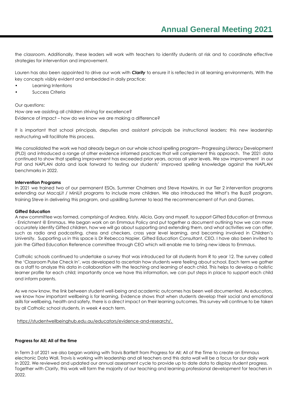the classroom. Additionally, these leaders will work with teachers to identify students at risk and to coordinate effective strategies for intervention and improvement.

Lauren has also been appointed to drive our work with *Clarity* to ensure it is reflected in all learning environments. With the key concepts visibly evident and embedded in daily practice:

- Learning Intentions
- Success Criteria

#### Our questions:

How are we assisting all children striving for excellence? Evidence of impact – how do we know we are making a difference?

It is important that school principals, deputies and assistant principals be instructional leaders; this new leadership restructuring will facilitate this process.

We consolidated the work we had already begun on our whole school spelling program– Progressing Literacy Development (PLD) and introduced a range of other evidence informed practices that will complement this approach. The 2021 data continued to show that spelling improvement has exceeded prior years, across all year levels. We saw improvement in our Pat and NAPLAN data and look forward to testing our students' improved spelling knowledge against the NAPLAN benchmarks in 2022.

#### **Intervention Programs**

In 2021 we trained two of our permanent ESOs, Summer Chalmers and Steve Hawkins, in our Tier 2 intervention programs extending our MacqLit / MiniLit programs to include more children. We also introduced the What's the Buzz? program, training Steve in delivering this program, and upskilling Summer to lead the recommencement of Fun and Games.

#### **Gifted Education**

A new committee was formed, comprising of Andrea, Kristy, Alicia, Gary and myself, to support Gifted Education at Emmaus - Enrichment @ Emmaus. We began work on an Emmaus Policy and put together a document outlining how we can more accurately identify Gifted children, how we will go about supporting and extending them, and what activities we can offer, such as radio and podcasting, chess and checkers, cross year level learning, and becoming involved in Children's University. Supporting us in this space is Dr Rebecca Napier, Gifted Education Consultant, CEO. I have also been invited to join the Gifted Education Reference committee through CEO which will enable me to bring new ideas to Emmaus.

Catholic schools continued to undertake a survey that was introduced for all students from R to year 12. The survey called the 'Classroom Pulse Check In', was developed to ascertain how students were feeling about school. Each term we gather as a staff to analyze this data in collaboration with the teaching and learning of each child. This helps to develop a holistic learner profile for each child; importantly once we have this information, we can put steps in place to support each child and inform parents.

As we now know, the link between student well-being and academic outcomes has been well documented. As educators, we know how important wellbeing is for learning. Evidence shows that when students develop their social and emotional skills for wellbeing, health and safety, there is a direct impact on their learning outcomes. This survey will continue to be taken by all Catholic school students, in week 4 each term.

[https://studentwellbeinghub.edu.au/educators/evidence-and-research/.](https://studentwellbeinghub.edu.au/educators/evidence-and-research/)

#### **Progress for All; All of the time**

In Term 3 of 2021 we also began working with Travis Bartlett from Progress for All; All of the Time to create an Emmaus electronic Data Wall. Travis is working with leadership and all teachers and this data wall will be a focus for our daily work in 2022. We reviewed and updated our annual assessment cycle to provide up to date data to display student progress. Together with *Clarity*, this work will form the majority of our teaching and learning professional development for teachers in 2022.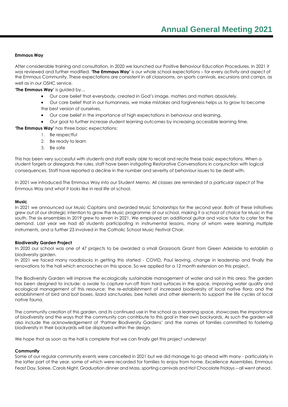#### **Emmaus Way**

After considerable training and consultation, in 2020 we launched our Positive Behaviour Education Procedures. In 2021 it was reviewed and further modified. **'The Emmaus Way'** is our whole school expectations – for every activity and aspect of the Emmaus Community. These expectations are consistent in all classrooms, on sports carnivals, excursions and camps, as well as in our OSHC service.

**'The Emmaus Way'** is guided by…

- Our core belief that everybody, created in God's image, matters and matters absolutely.
- Our core belief that in our humanness, we make mistakes and forgiveness helps us to grow to become the best version of ourselves.
- Our core belief in the importance of high expectations in behaviour and learning.
- Our goal to further increase student learning outcomes by increasing accessible learning time.

**'The Emmaus Way'** has three basic expectations:

- 1. Be respectful
- 2. Be ready to learn
- 3. Be safe

This has been very successful with students and staff easily able to recall and recite these basic expectations. When a student forgets or disregards the rules, staff have been instigating Restorative Conversations in conjunction with logical consequences. Staff have reported a decline in the number and severity of behaviour issues to be dealt with.

In 2021 we introduced The Emmaus Way into our Student Memo. All classes are reminded of a particular aspect of The Emmaus Way and what it looks like in real life at school.

#### **Music**

In 2021 we announced our Music Captains and awarded Music Scholarships for the second year. Both of these initiatives grew out of our strategic intention to grow the Music programme at our school, making it a school of choice for Music in the south. The six ensembles in 2019 grew to seven in 2021. We employed an additional guitar and voice tutor to cater for the demand. Last year we had 60 students participating in instrumental lessons, many of whom were learning multiple instruments, and a further 23 involved in the Catholic School Music Festival Choir.

#### **Biodiversity Garden Project**

In 2020 our school was one of 47 projects to be awarded a small Grassroots Grant from Green Adelaide to establish a biodiversity garden.

In 2021 we faced many roadblocks in getting this started - COVID, Paul leaving, change in leadership and finally the renovations to the hall which encroaches on this space. So we applied for a 12 month extension on this project.

The Biodiversity Garden will improve the ecologically sustainable management of water and soil in this area. The aarden has been designed to include: a swale to capture run-off from hard surfaces in the space, improving water quality and ecological management of this resource; the re-establishment of increased biodiversity of local native flora; and the establishment of bird and bat boxes, lizard sanctuaries, bee hotels and other elements to support the life cycles of local native fauna.

The community creation of this garden, and its continued use in the school as a learning space, showcases the importance of biodiversity and the ways that the community can contribute to this goal in their own backyards. As such the garden will also include the acknowledgement of 'Partner Biodiversity Gardens' and the names of families committed to fostering biodiversity in their backyards will be displayed within the design.

We hope that as soon as the hall is complete that we can finally get this project underway!

#### **Community**

Some of our regular community events were cancelled in 2021 but we did manage to go ahead with many - particularly in the latter part of the year, some of which were recorded for families to enjoy from home. Excellence Assemblies, Emmaus Feast Day, Soiree, Carols Night, Graduation dinner and Mass, sporting carnivals and Hot Chocolate Fridays – all went ahead.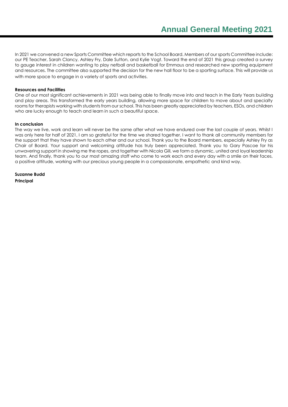In 2021 we convened a new Sports Committee which reports to the School Board. Members of our sports Committee include: our PE Teacher, Sarah Clancy, Ashley Fry, Dale Sutton, and Kylie Vogt. Toward the end of 2021 this group created a survey to gauge interest in children wanting to play netball and basketball for Emmaus and researched new sporting equipment and resources. The committee also supported the decision for the new hall floor to be a sporting surface. This will provide us with more space to engage in a variety of sports and activities.

#### **Resources and Facilities**

One of our most significant achievements in 2021 was being able to finally move into and teach in the Early Years building and play areas. This transformed the early years building, allowing more space for children to move about and specialty rooms for therapists working with students from our school. This has been greatly appreciated by teachers, ESOs, and children who are lucky enough to teach and learn in such a beautiful space.

#### **In conclusion**

The way we live, work and learn will never be the same after what we have endured over the last couple of years. Whilst I was only here for half of 2021, I am so grateful for the time we shared together. I want to thank all community members for the support that they have shown to each other and our school. Thank you to the Board members, especially Ashley Fry as Chair of Board. Your support and welcoming attitude has truly been appreciated. Thank you to Gary Pascoe for his unwavering support in showing me the ropes, and together with Nicola Gill, we form a dynamic, united and loyal leadership team. And finally, thank you to our most amazing staff who come to work each and every day with a smile on their faces, a positive attitude, working with our precious young people in a compassionate, empathetic and kind way.

**Suzanne Budd Principal**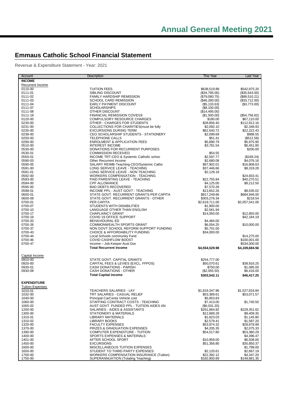# **Emmaus Catholic School Financial Statement**

Revenue & Expenditure Statement - Year: 2021

| Account                 | Description                                                             | This Year                     | Last Year                 |
|-------------------------|-------------------------------------------------------------------------|-------------------------------|---------------------------|
| <b>INCOME</b>           |                                                                         |                               |                           |
| Recurrent Income        |                                                                         |                               |                           |
| 0110-00                 | <b>TUITION FEES</b>                                                     | \$638,519.89                  | \$542,975.20              |
| 0111-01                 | SIBLING DISCOUNT                                                        | (\$34,795.00)                 | (\$35,643.00)             |
| 0111-02                 | FAMILY HARDSHIP REMISSION                                               | (\$79,080.75)                 | (\$89,510.21)             |
| 0111-03                 | <b>SCHOOL CARD REMISSION</b>                                            | (\$46,280.00)                 | (\$33,712.00)             |
| 0111-04                 | EARLY PAYMENT DISCOUNT                                                  | (\$5,133.63)                  | (\$3,773.00)              |
| 0111-07<br>0111-08      | <b>SCHOLARSHIPS</b><br>OTHER DISCOUNT                                   | (\$8,100.00)<br>(\$14,495.00) |                           |
| 0111-19                 | FINANCIAL REMISSION COVID19                                             | (\$1,500.00)                  | (\$54,756.62)             |
| 0120-00                 | COMPULSORY RESOURCE CHARGES                                             | \$180.00                      | \$67,110.00               |
| 0230-00                 | OTHER - CHARGES FOR STUDENTS                                            | \$28,856.40                   | \$112,912.16              |
| 0231-00                 | COLLECTIONS FOR CHARITIES (must be fully                                | \$2,092.10                    | \$2,348.93                |
| 0235-00                 | <b>EXCURSIONS DURING TERM</b>                                           | \$62,540.72                   | \$22.222.43               |
| 0238-00                 | CEO SCHOLARSHIP STUDENTS - STATIONERY                                   | \$2.099.69                    | \$988.55                  |
| 0250-00                 | <b>TELEPHONE CALLS</b>                                                  | \$51.41                       | (\$512.58)                |
| 0290-00                 | <b>ENROLMENT &amp; APPLICATION FEES</b>                                 | \$5,890.79                    | \$5,975.90                |
| 0510-00                 | <b>INTEREST INCOME</b>                                                  | \$3,781.54                    | \$6,451.80                |
| 0530-00                 | DONATIONS FOR RECURRENT PURPOSES                                        |                               | \$200.00                  |
| 0530-01<br>0550-01      | <b>COMMISSION RECEIVED</b><br>INCOME TRT-CEO & Systemic Catholic school | \$54.55<br>\$2,597.77         | (\$169.24)                |
| 0590-03                 | Other Recurrent Income                                                  | \$2,680.08                    | \$4,076.16                |
| 0590-05                 | SALARY REIMB-Teaching-CEO/Systemic Catho                                | \$97,902.01                   | \$16,808.63               |
| 0591-00                 | LONG SERVICE LEAVE - TEACHING                                           | \$37,446.66                   | \$8,319.28                |
| 0591-01                 | LONG SERVICE LEAVE - NON TEACHING                                       | \$2.129.18                    |                           |
| 0592-00                 | <b>WORKERS COMPENSATION - TEACHING</b>                                  |                               | \$24,833.41               |
| 0593-00                 | PAID PARENTING LEAVE - TEACHING                                         | \$22,755.84                   | \$40,270.51               |
| 0594-00                 | <b>CPF ALLOWANCE</b>                                                    | \$4,125.00                    | \$8,212.50                |
| 0595-00                 | <b>BAD DEBTS RECOVERED</b>                                              | \$7,570.28                    |                           |
| 0598-01                 | INCOME PPL - AUST GOVT - TEACHING                                       | \$13,652.26                   | \$8,035.02                |
| 0600-01                 | STATE GOVT. RECURRENT GRANTS-PER CAPITA                                 | \$817,249.66                  | \$684,946.00              |
| 0600-09                 | STATE GOVT. RECURRENT GRANTS - OTHER<br>PER CAPITA                      | \$303,276.34                  | \$218.54                  |
| 0700-01<br>0700-07      | STUDENTS WITH DISABILITIES                                              | \$2,619,711.00<br>\$1,900.00  | \$2,057,541.00            |
| 0700-10                 | LANGUAGE OTHER THAN ENGLISH                                             | \$2,561.94                    |                           |
| 0700-17                 | <b>CHAPLAINCY GRANT</b>                                                 | \$14,050.00                   | \$12,855.00               |
| 0700-19                 | COVID 19 OFFICE SUPPORT                                                 |                               | \$42,184.19               |
| 0700-20                 | <b>BEHAVIOURAL ED</b>                                                   | \$4,484.00                    |                           |
| 0700-26                 | COMMONWEALTH SPORTS GRANT                                               | \$6,054.25                    | \$10,000.00               |
| 0700-37                 | NON GOVT SCHOOL REFORM SUPPORT FUNDING                                  | \$5,701.00                    |                           |
| 0700-43                 | <b>CHOICE &amp; AFFORDABILITY FUNDING</b>                               | \$34,000.00                   |                           |
| 0700-44                 | Local Schools community Fund                                            |                               | \$14,275.00               |
| 0700-46                 | COVID CASHFLOW BOOST                                                    |                               | \$100,001.00              |
| 0700-47                 | Income - Job Keeper Aust Gov                                            |                               | \$534,000.00              |
|                         | <b>Total Recurrent Income</b>                                           | \$4,554,529.98                | \$4,109,684.56            |
| Capital Income          |                                                                         |                               |                           |
| 0910-00                 | STATE GOVT. CAPITAL GRANTS                                              | \$254,777.00                  |                           |
| 0920-00                 | CAPITAL FEES & LEVIES (EXCL. FFPOS)                                     | \$50,070.61                   | \$38,916.25               |
| 0930-01                 | CASH DONATIONS - PARISH                                                 | \$750.00                      | \$1,085.00                |
| 0930-09                 | CASH DONATIONS - OTHER                                                  | (\$2,055.50)                  | \$6,416.00                |
|                         | <b>Total Capital Income</b>                                             | \$303,542.11                  | \$46.417.25               |
|                         |                                                                         |                               |                           |
| <b>EXPENDITURE</b>      |                                                                         |                               |                           |
| <b>Tuition Expenses</b> |                                                                         |                               |                           |
| 1010-01                 | TEACHERS SALARIES - LAY                                                 | \$1,819,347.96                | \$1,527,816.84            |
| 1032-00<br>1040-00      | TRT SALARIES - CASUAL RELIEF<br>Principal CarCenta Vehicle cost         | \$53,389.61<br>\$5,853.83     | \$53,071.57               |
| 1060-00                 | STAFFING CONTRACT COSTS - TEACHING                                      | \$7,413.00                    | \$1,740.50                |
| 1065-02                 | AUST GOVT. FUNDED PPL - TUITION AIDES AN                                | (\$6,031.20)                  |                           |
| 1200-00                 | SALARIES - AIDES & ASSISTANTS                                           | \$261,864.82                  | \$229,351.62              |
| 1300-00                 | STATIONERY & MATERIALS                                                  | \$12,689.28                   | \$9,409.35                |
| 1310-01                 | <b>LIBRARY MATERIALS</b>                                                | \$1,823.03                    | \$1,145.80                |
| 1310-02                 | <b>LIBRARY BOOKS</b>                                                    | \$2,579.41                    | \$1,587.20                |
| 1320-00                 | <b>FACULTY EXPENSES</b>                                                 | \$53,974.32                   | \$28,678.99               |
| 1370-00                 | <b>PRIZES &amp; GRADUATION EXPENSES</b>                                 | \$4.205.35                    | \$2,075.33                |
| 1390-00                 | COMPUTER EXPENDITURE - TUITION                                          | \$54.517.80                   | \$53,380.29               |
| 1400-00                 | SPORTS EXPENSES & MATERIALS                                             |                               | \$4,396.47                |
| 1401-00                 | AFTER SCHOOL SPORT<br><b>EXCURSIONS</b>                                 | \$10,959.00                   | \$6,508.00                |
| 1450-00<br>1600-00      | MISCELLANEOUS TUITION EXPENSES                                          | \$51,356.80                   | \$35,850.37<br>\$1,799.00 |
| 1650-00                 | STUDENT TO THIRD PARTY EXPENSES                                         | \$2,120.61                    | \$2,667.19                |
| 1700-00                 | <b>WORKERS COMPENSATION INSURANCE (Tuition)</b>                         | \$22,392.12                   | \$4,347.20                |
| 1750-00                 | SUPERANNUATION (Totaling Teaching)                                      | \$182,800.69                  | \$149,881.35              |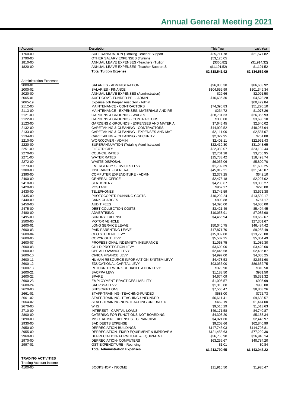# **Annual General Meeting 2021**

| Account                                                    | Description                                                           | This Year                  | Last Year                 |
|------------------------------------------------------------|-----------------------------------------------------------------------|----------------------------|---------------------------|
| 1760-00                                                    | SUPERANNUATION (Totaling Teacher Support                              | \$25,711.78                | \$21,577.82               |
| 1790-00                                                    | OTHER SALARY EXPENSES (Tuition)                                       | \$53,126.05                |                           |
| 1810-00                                                    | ANNUAL LEAVE EXPENSES - Teachers (Tuition                             | (\$360.82)                 | (\$1,914.32)              |
| 1820-00                                                    | ANNUAL LEAVE EXPENSES- Teacher Support S                              | (\$1,191.52)               | \$1,191.52                |
|                                                            | <b>Total Tuition Expense</b>                                          | \$2,618,541.92             | \$2,134,562.09            |
| <b>Administration Expenses</b>                             |                                                                       |                            |                           |
| 2000-01                                                    | SALARIES - ADMINISTRATION                                             | \$96,980.38                | \$86,603.92               |
| 2000-02                                                    | SALARIES - FINANCE                                                    | \$104,659.99               | \$101,346.34              |
| 2020-00                                                    | ANNUAL LEAVE EXPENSES (Administration)                                | \$29.66                    | \$2,091.50                |
| 2065-01                                                    | AUST GOVT. FUNDED PPL - ADMIN                                         | \$16,636.30                | \$4,523.28                |
| 2065-19                                                    | Expense Job Keeper Aust Gov - Admin                                   |                            | \$60,479.84               |
| 2112-00<br>2113-00                                         | MAINTENANCE - CONTRACTORS<br>MAINTENANCE - EXPENSES. MATERIALS AND RE | \$74,396.83<br>\$234.72    | \$51,270.10<br>\$1,078.26 |
| 2121-00                                                    | <b>GARDENS &amp; GROUNDS - WAGES</b>                                  | \$28,781.33                | \$26,355.93               |
| 2122-00                                                    | <b>GARDENS &amp; GROUNDS - CONTRACTORS</b>                            | \$308.00                   | \$3,698.10                |
| 2123-00                                                    | GARDENS & GROUNDS - EXPENSES AND MATERIA                              | \$7,645.45                 | \$2,540.02                |
| 2132-00                                                    | CARETAKING & CLEANING - CONTRACTORS                                   | \$44,902.52                | \$48,257.94               |
| 2133-00                                                    | CARETAKING & CLEANING - EXPENSES AND MAT                              | \$2,111.00                 | \$2,587.07                |
| 2134-00<br>2210-00                                         | CARETAKING & CLEANING - SECURITY<br><b>WORKCOVER - ADMIN</b>          | \$2,327.95<br>\$2,403.11   | \$751.08<br>\$22,951.43   |
| 2220-00                                                    | SUPERANNUATION (Totaling Administration)                              | \$22,410.30                | \$31,043.65               |
| 2251-00                                                    | <b>ELECTRICITY</b>                                                    | \$22,389.07                | \$23,182.44               |
| 2270-00                                                    | <b>COUNCIL RATES</b>                                                  | \$2,701.28                 | \$3,765.95                |
| 2271-00                                                    | <b>WATER RATES</b>                                                    | \$15,783.42                | \$18,493.74               |
| 2272-00                                                    | <b>WASTE DISPOSAL</b>                                                 | \$6,056.06                 | \$5,800.70                |
| 2273-00                                                    | <b>EMERGENCY SERVICES LEVY</b><br><b>INSURANCE - GENERAL</b>          | \$1,702.39                 | \$1,639.25                |
| 2300-00<br>2390-00                                         | COMPUTER EXPENDITURE - ADMIN                                          | \$45,812.21<br>\$2,377.25  | \$31,546.07<br>\$642.10   |
| 2400-00                                                    | <b>GENERAL OFFICE</b>                                                 | \$2,476.18                 | \$2,227.02                |
| 2410-00                                                    | <b>STATIONERY</b>                                                     | \$4,238.67                 | \$3.305.27                |
| 2420-00                                                    | <b>POSTAGE</b>                                                        | \$967.27                   | \$220.00                  |
| 2430-00                                                    | <b>TELEPHONES</b>                                                     | \$3,745.59                 | \$3,671.38                |
| 2435-00                                                    | PHOTOCOPIER RUNNING COSTS                                             | \$10,202.24                | \$13,580.17               |
| 2440-00<br>2450-00                                         | <b>BANK CHARGES</b><br><b>AUDIT FEES</b>                              | \$803.88<br>\$4,390.00     | \$767.17<br>\$4,680.00    |
| 2475-00                                                    | DEBT COLLECTION COSTS                                                 | \$3,421.49                 | \$5,494.45                |
| 2480-00                                                    | <b>ADVERTISING</b>                                                    | \$10,058.91                | \$7,085.98                |
| 2495-00                                                    | <b>SUNDRY EXPENSE</b>                                                 | \$4,466.94                 | \$3,662.67                |
| 2500-00                                                    | <b>MOTOR VEHICLE</b>                                                  |                            | \$27,301.67               |
| 2600-01                                                    | LONG SERVICE LEAVE                                                    | \$50,040.75                | \$46,484.42               |
| 2600-03<br>2600-04                                         | PAID PARENTING LEAVE<br><b>CEO STUDENT LEVY</b>                       | \$17,871.70<br>\$15,982.00 | \$9,253.49<br>\$13,725.00 |
| 2600-06                                                    | <b>COPYRIGHT LEVY</b>                                                 | \$5,537.25                 | \$5,054.49                |
| 2600-07                                                    | PROFESSIONAL INDEMNITY INSURANCE                                      | \$1,068.75                 | \$1,086.30                |
| 2600-08                                                    | CHILD PROTECTION LEVY                                                 | \$3.600.00                 | \$3,428.60                |
| 2600-09                                                    | CPF ALLOWANCE LEVY                                                    | \$2,445.58                 | \$2,486.87                |
| 2600-10                                                    | CIVICA FINANCE LEVY                                                   | \$4,997.00                 | \$4,088.25                |
| 2600-11<br>2600-12                                         | HUMAN RESOURCE INFORMATION SYSTEM LEVY<br>EDUCATIONAL CAPITAL LEVY    | \$4,478.53<br>\$93,036.00  | \$2,631.60<br>\$86,632.75 |
| 2600-13                                                    | RETURN TO WORK REHABILITATION LEVY                                    | \$379.90                   | \$310.50                  |
| 2600-21                                                    | SACPPA LEVY                                                           | \$1,183.50                 | \$931.50                  |
| 2600-22                                                    | <b>SPARE</b>                                                          | \$4,674.09                 | \$5,331.32                |
| 2600-23                                                    | <b>EMPLOYMENT PRACTICES LIABILITY</b>                                 | \$1,095.57                 | \$995.99                  |
| 2600-24                                                    | <b>SACPSSA LEVY</b>                                                   | \$1,310.00                 | \$936.00                  |
| 2620-00<br>2661-01                                         | <b>SUBSCRIPTIONS</b><br>STAFF-TRAINING-TEACHING-FUNDED                | \$7,565.47<br>\$583.00     | \$8,803.26<br>\$772.73    |
| 2661-02                                                    | STAFF-TRAINING-TEACHING-UNFUNDED                                      | \$6,611.41                 | \$9,688.57                |
| 2664-02                                                    | STAFF-TRAINING-NON-TEACHING UNFUNDED                                  | \$462.19                   | \$1,414.00                |
| 2670-00                                                    | <b>WHS</b>                                                            | \$9,515.29                 | \$1,513.63                |
| 2710-00                                                    | <b>INTEREST - CAPITAL LOANS</b>                                       | \$49,171.58                | \$4,740.87                |
| 2800-00                                                    | CATERING FOR FUNCTIONS-NOT BOARDING                                   | \$4,308.20                 | \$5,188.34                |
| 2890-00<br>2930-00                                         | MISC. ADMIN. EXPENSES EG PRINCIPAL<br><b>BAD DEBTS EXPENSE</b>        | \$4,021.60<br>\$9,203.66   | \$2,445.97<br>\$62,840.99 |
| 2950-00                                                    | DEPRECIATION-BUILDINGS                                                | \$147,743.03               | \$114,708.81              |
| 2955-00                                                    | DEPRECIATION- FIXED EQUIPMENT & IMPROVEM                              | \$121,458.63               | \$77,229.30               |
| 2960-00                                                    | DEPRECIATION- FURNITURE & EQUIPMENT                                   | \$36,768.90                | \$26,940.14               |
| 2970-00                                                    | DEPRECIATION- COMPUTERS                                               | \$63,255.67                | \$40,734.20               |
| 2997-01                                                    | <b>GST EXPENDITURE - Rounding</b>                                     | \$1.01                     | \$0.84                    |
|                                                            | <b>Total Administration Expenses</b>                                  | \$1,213,790.65             | \$1,143,043.22            |
|                                                            |                                                                       |                            |                           |
| <b>TRADING ACTIVITIES</b><br><b>Trading Account Income</b> |                                                                       |                            |                           |
| 4100-00                                                    | <b>BOOKSHOP - INCOME</b>                                              | \$11,910.50                | \$1,926.47                |
|                                                            |                                                                       |                            |                           |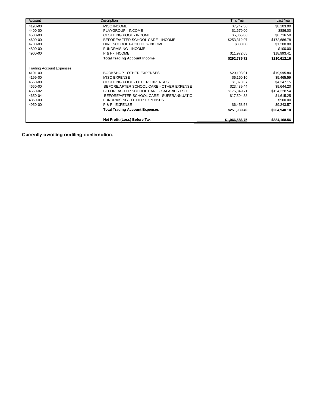| Account                         | Description                              | <b>This Year</b> | Last Year    |
|---------------------------------|------------------------------------------|------------------|--------------|
| 4198-00                         | <b>MISC INCOME</b>                       | \$7,747.50       | \$8,103.00   |
| 4400-00                         | PLAYGROUP - INCOME                       | \$1,679.00       | \$886.00     |
| 4500-00                         | <b>CLOTHING POOL - INCOME</b>            | \$5,865.00       | \$6,716.50   |
| 4600-00                         | BEFORE/AFTER SCHOOL CARE - INCOME        | \$253,312.07     | \$172,686.78 |
| 4700-00                         | HIRE SCHOOL FACILITIES-INCOME            | \$300.00         | \$1,200.00   |
| 4800-00                         | <b>FUNDRAISING - INCOME</b>              |                  | \$100.00     |
| 4900-00                         | P & F - INCOME                           | \$11,972.65      | \$18,993.41  |
|                                 | <b>Total Trading Account Income</b>      | \$292,786.72     | \$210,612.16 |
| <b>Trading Account Expenses</b> |                                          |                  |              |
| 4101-00                         | <b>BOOKSHOP - OTHER EXPENSES</b>         | \$20,103.91      | \$19,995.80  |
| 4199-00                         | <b>MISC EXPENSE</b>                      | \$6,160.10       | \$5,465.59   |
| 4550-00                         | CLOTHING POOL - OTHER EXPENSES           | \$1,373.37       | \$4,247.15   |
| 4650-00                         | BEFORE/AFTER SCHOOL CARE - OTHER EXPENSE | \$23,489.44      | \$9,644.20   |
| 4650-02                         | BEFORE/AFTER SCHOOL CARE - SALARIES ESO  | \$176,849.71     | \$154,228.54 |
| 4650-04                         | BEFORE/AFTER SCHOOL CARE - SUPERANNUATIO | \$17,504.38      | \$1,615.25   |
| 4850-00                         | <b>FUNDRAISING - OTHER EXPENSES</b>      |                  | \$500.00     |
| 4950-00                         | P & F - EXPENSE                          | \$6,458.58       | \$9,243.57   |
|                                 | <b>Total Trading Account Expenses</b>    | \$251,939.49     | \$204,940.10 |
|                                 | Net Profit (Loss) Before Tax             | \$1,066,586.75   | \$884,168.56 |

**Currently awaiting auditing confirmation.**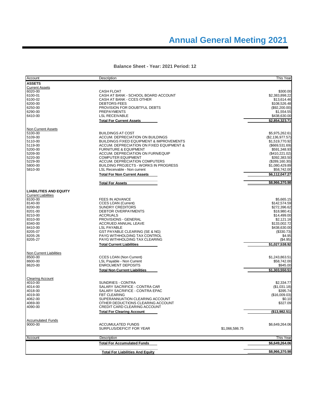| Account                       | Description                                           |                | This Year                    |
|-------------------------------|-------------------------------------------------------|----------------|------------------------------|
| <b>ASSETS</b>                 |                                                       |                |                              |
| <b>Current Assets</b>         |                                                       |                |                              |
| 6020-00                       | <b>CASH FLOAT</b>                                     |                | \$300.00                     |
| 6100-01                       | CASH AT BANK - SCHOOL BOARD ACCOUNT                   |                | \$2,383,898.22               |
| 6100-02                       | CASH AT BANK - CCES OTHER                             |                | \$13,614.46                  |
| 6200-00                       | <b>DEBTORS-FEES</b>                                   |                | \$108,526.48                 |
| 6250-00                       | PROVISION FOR DOUBTFUL DEBTS                          |                | $(\$92,200.00)$              |
| 6290-00                       | <b>PREPAYMENTS</b>                                    |                | \$1,554.55                   |
| 6410-00                       | <b>LSL RECEIVABLE</b>                                 |                | \$438,630.00                 |
|                               | <b>Total For Current Assets</b>                       |                | \$2,854,323.71               |
| <b>Non Current Assets</b>     |                                                       |                |                              |
| 5100-00                       | <b>BUILDINGS AT COST</b>                              |                | \$5,975,262.61               |
| 5109-00                       | ACCUM. DEPRECIATION ON BUILDINGS                      |                | (\$2,136,977.57)             |
| 5110-00                       | <b>BUILDINGS FIXED EQUIPMENT &amp; IMPROVEMENTS</b>   |                | \$1,519,770.92               |
| 5119-00                       | ACCUM. DEPRECIATION ON FIXED EQUIPMENT &              |                | (\$669,531.69)               |
| 5200-00                       | <b>FURNITURE &amp; EQUIPMENT</b>                      |                | \$591,348.93                 |
| 5209-00                       | ACCUM. DEPRECIATION ON FURN/EQUIP                     |                | (\$410,221.02)               |
| 5220-00                       | <b>COMPUTER EQUIPMENT</b>                             |                | \$392,383.50                 |
| 5229-00                       | ACCUM. DEPRECIATION COMPUTERS                         |                | (\$289,160.30)               |
| 5800-00                       | <b>BUILDING PROJECTS - WORKS IN PROGRESS</b>          |                | \$1,080,429.89               |
| 5810-00                       | LSL Receivable - Non current                          |                | \$58,742.00                  |
|                               | <b>Total For Non Current Assets</b>                   |                | \$6,112,047.27               |
|                               | <b>Total For Assets</b>                               |                | \$8,966,370.98               |
|                               |                                                       |                |                              |
| <b>LIABILITIES AND EQUITY</b> |                                                       |                |                              |
| <b>Current Liabilities</b>    |                                                       |                |                              |
| 8100-00                       | <b>FEES IN ADVANCE</b>                                |                | \$5,665.15                   |
| 8140-00<br>8200-00            | <b>CCES LOAN (Current)</b><br><b>SUNDRY CREDITORS</b> |                | \$142,574.59<br>\$272,396.62 |
| 8201-00                       | <b>DEBTOR OVERPAYMENTS</b>                            |                | \$18,980.41                  |
| 8210-00                       | <b>ACCRUALS</b>                                       |                | \$14,499.00                  |
| 8310-00                       | PROVISIONS - GENERAL                                  |                | \$2,121.16                   |
| 8340-00                       | ACCRUED ANNUAL LEAVE                                  |                | \$133,002.72                 |
| 8410-00                       | <b>LSL PAYABLE</b>                                    |                | \$438,630.00                 |
| 8205-07                       | GST PAYABLE CLEARING (SE & NG)                        |                | (\$330.73)                   |
| 8205-26                       | PAYG WITHHOLDING TAX CONTROL                          |                | \$4.95                       |
| 8205-27                       | PAYG WITHHOLDING TAX CLEARING                         |                | (\$4.95)                     |
|                               | <b>Total Current Liabilities</b>                      |                | \$1,027,538.92               |
|                               |                                                       |                |                              |
| Non Current Liabilities       |                                                       |                |                              |
| 8500-00                       | <b>CCES LOAN (Non Current)</b>                        |                | \$1,243,863.51               |
| 8600-00                       | LSL Payable - Non Current                             |                | \$58,742.00                  |
| 8620-00                       | <b>ENROLMENT DEPOSITS</b>                             |                | \$945.00                     |
|                               | <b>Total Non Current Liabilities</b>                  |                | \$1,303,550.51               |
| <b>Clearing Account</b>       |                                                       |                |                              |
| 4010-00                       | <b>SUNDRIES - CONTRA</b>                              |                | \$2,334.77                   |
| 4014-00                       | SALARY SACRIFICE - CONTRA CAR                         |                | (\$1,031.18)                 |
| 4018-00                       | SALARY SACRIFICE - CONTRA EPAC                        |                | \$395.74                     |
| 4019-00                       | <b>FBT CLEARING</b>                                   |                | (\$16,009.03)                |
| 4062-00                       | SUPERANNUATION CLEARING ACCOUNT                       |                | \$0.10                       |
| 4069-00                       | OTHER DEDUCTIONS CLEARING ACCOUNT                     |                | \$327.09                     |
| 4090-00                       | CREDIT CARD CLEARING ACCOUNT                          |                |                              |
|                               | <b>Total For Clearing Account</b>                     |                | (\$13,982.51)                |
| <b>Accumulated Funds</b>      |                                                       |                |                              |
| 9000-00                       | <b>ACCUMULATED FUNDS</b>                              |                | \$6,649,264.06               |
|                               | SURPLUS/DEFICIT FOR YEAR                              | \$1,066,586.75 |                              |
| Account                       | Description                                           |                | <b>This Year</b>             |
|                               | <b>Total For Accumulated Funds</b>                    |                | \$6,649,264.06               |
|                               | <b>Total For Liabilities And Equity</b>               |                | \$8,966,370.98               |
|                               |                                                       |                |                              |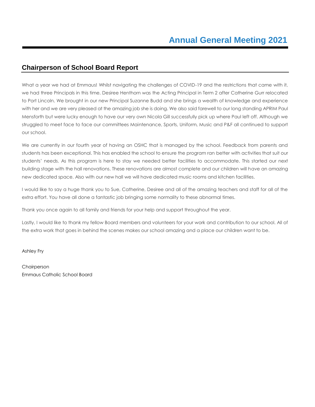## **Chairperson of School Board Report**

What a year we had at Emmaus! Whilst navigating the challenges of COVID-19 and the restrictions that came with it, we had three Principals in this time. Desiree Henthorn was the Acting Principal in Term 2 after Catherine Gurr relocated to Port Lincoln. We brought in our new Principal Suzanne Budd and she brings a wealth of knowledge and experience with her and we are very pleased at the amazing job she is doing. We also said farewell to our long standing APRIM Paul Mensforth but were lucky enough to have our very own Nicola Gill successfully pick up where Paul left off. Although we struggled to meet face to face our committees Maintenance, Sports, Uniform, Music and P&F all continued to support our school.

We are currently in our fourth year of having an OSHC that is managed by the school. Feedback from parents and students has been exceptional. This has enabled the school to ensure the program ran better with activities that suit our students' needs. As this program is here to stay we needed better facilities to accommodate. This started our next building stage with the hall renovations. These renovations are almost complete and our children will have an amazing new dedicated space. Also with our new hall we will have dedicated music rooms and kitchen facilities.

I would like to say a huge thank you to Sue, Catherine, Desiree and all of the amazing teachers and staff for all of the extra effort. You have all done a fantastic job bringing some normality to these abnormal times.

Thank you once again to all family and friends for your help and support throughout the year.

Lastly, I would like to thank my fellow Board members and volunteers for your work and contribution to our school. All of the extra work that goes in behind the scenes makes our school amazing and a place our children want to be.

Ashley Fry

Chairperson Emmaus Catholic School Board